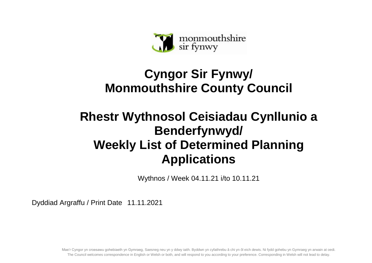

## **Cyngor Sir Fynwy/ Monmouthshire County Council**

## **Rhestr Wythnosol Ceisiadau Cynllunio a Benderfynwyd/ Weekly List of Determined Planning Applications**

Wythnos / Week 04.11.21 i/to 10.11.21

Dyddiad Argraffu / Print Date 11.11.2021

Mae'r Cyngor yn croesawu gohebiaeth yn Gymraeg, Saesneg neu yn y ddwy iaith. Byddwn yn cyfathrebu â chi yn ôl eich dewis. Ni fydd gohebu yn Gymraeg yn arwain at oedi. The Council welcomes correspondence in English or Welsh or both, and will respond to you according to your preference. Corresponding in Welsh will not lead to delay.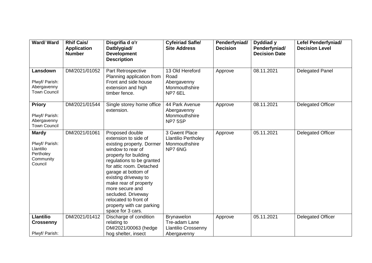| Ward/Ward                                                                        | <b>Rhif Cais/</b><br><b>Application</b><br><b>Number</b> | Disgrifia d o'r<br>Datblygiad/<br><b>Development</b><br><b>Description</b>                                                                                                                                                                                                                                                                                              | <b>Cyfeiriad Safle/</b><br><b>Site Address</b>                          | Penderfyniad/<br><b>Decision</b> | Dyddiad y<br>Penderfyniad/<br><b>Decision Date</b> | Lefel Penderfyniad/<br><b>Decision Level</b> |
|----------------------------------------------------------------------------------|----------------------------------------------------------|-------------------------------------------------------------------------------------------------------------------------------------------------------------------------------------------------------------------------------------------------------------------------------------------------------------------------------------------------------------------------|-------------------------------------------------------------------------|----------------------------------|----------------------------------------------------|----------------------------------------------|
| Lansdown<br>Plwyf/ Parish:<br>Abergavenny<br><b>Town Council</b>                 | DM/2021/01052                                            | Part Retrospective<br>Planning application from<br>Front and side house<br>extension and high<br>timber fence.                                                                                                                                                                                                                                                          | 13 Old Hereford<br>Road<br>Abergavenny<br>Monmouthshire<br>NP7 6EL      | Approve                          | 08.11.2021                                         | <b>Delegated Panel</b>                       |
| <b>Priory</b><br>Plwyf/ Parish:<br>Abergavenny<br><b>Town Council</b>            | DM/2021/01544                                            | Single storey home office<br>extension.                                                                                                                                                                                                                                                                                                                                 | 44 Park Avenue<br>Abergavenny<br>Monmouthshire<br>NP75SP                | Approve                          | 08.11.2021                                         | <b>Delegated Officer</b>                     |
| <b>Mardy</b><br>Plwyf/ Parish:<br>Llantilio<br>Pertholey<br>Community<br>Council | DM/2021/01061                                            | Proposed double<br>extension to side of<br>existing property. Dormer<br>window to rear of<br>property for building<br>regulations to be granted<br>for attic room. Detached<br>garage at bottom of<br>existing driveway to<br>make rear of property<br>more secure and<br>secluded. Driveway<br>relocated to front of<br>property with car parking<br>space for 3 cars. | 3 Gwent Place<br><b>Llantilio Pertholey</b><br>Monmouthshire<br>NP7 6NG | Approve                          | 05.11.2021                                         | Delegated Officer                            |
| <b>Llantilio</b><br><b>Crossenny</b>                                             | DM/2021/01412                                            | Discharge of condition<br>relating to<br>DM/2021/00063 (hedge                                                                                                                                                                                                                                                                                                           | <b>Brynawelon</b><br>Tre-adam Lane<br><b>Llantilio Crossenny</b>        | Approve                          | 05.11.2021                                         | <b>Delegated Officer</b>                     |
| Plwyf/ Parish:                                                                   |                                                          | hog shelter, insect                                                                                                                                                                                                                                                                                                                                                     | Abergavenny                                                             |                                  |                                                    |                                              |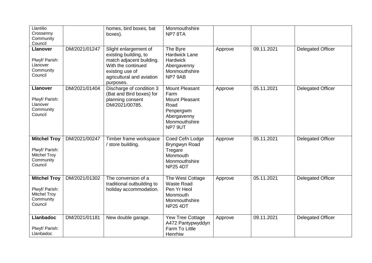| Llantilio<br>Crossenny<br>Community<br>Council                                       |               | homes, bird boxes, bat<br>boxes).                                                                                                                             | Monmouthshire<br>NP78TA                                                                                                |         |            |                          |
|--------------------------------------------------------------------------------------|---------------|---------------------------------------------------------------------------------------------------------------------------------------------------------------|------------------------------------------------------------------------------------------------------------------------|---------|------------|--------------------------|
| <b>Llanover</b><br>Plwyf/ Parish:<br>Llanover<br>Community<br>Council                | DM/2021/01247 | Slight enlargement of<br>existing building, to<br>match adjacent building.<br>With the continued<br>existing use of<br>agricultural and aviation<br>purposes. | The Byre<br><b>Hardwick Lane</b><br><b>Hardwick</b><br>Abergavenny<br>Monmouthshire<br>NP7 9AB                         | Approve | 09.11.2021 | <b>Delegated Officer</b> |
| <b>Llanover</b><br>Plwyf/ Parish:<br>Llanover<br>Community<br>Council                | DM/2021/01404 | Discharge of condition 3<br>(Bat and Bird boxes) for<br>planning consent<br>DM/2021/00785.                                                                    | <b>Mount Pleasant</b><br>Farm<br><b>Mount Pleasant</b><br>Road<br>Penpergwm<br>Abergavenny<br>Monmouthshire<br>NP7 9UT | Approve | 05.11.2021 | <b>Delegated Officer</b> |
| <b>Mitchel Troy</b><br>Plwyf/ Parish:<br><b>Mitchel Troy</b><br>Community<br>Council | DM/2021/00247 | Timber frame workspace<br>/ store building.                                                                                                                   | Coed Cefn Lodge<br>Bryngwyn Road<br>Tregare<br>Monmouth<br>Monmouthshire<br><b>NP25 4DT</b>                            | Approve | 05.11.2021 | <b>Delegated Officer</b> |
| <b>Mitchel Troy</b><br>Plwyf/ Parish:<br><b>Mitchel Troy</b><br>Community<br>Council | DM/2021/01302 | The conversion of a<br>traditional outbuilding to<br>holiday accommodation.                                                                                   | The West Cottage<br><b>Waste Road</b><br>Pen Yr Heol<br>Monmouth<br>Monmouthshire<br><b>NP25 4DT</b>                   | Approve | 05.11.2021 | <b>Delegated Officer</b> |
| <b>Llanbadoc</b><br>Plwyf/ Parish:<br>Llanbadoc                                      | DM/2021/01181 | New double garage.                                                                                                                                            | Yew Tree Cottage<br>A472 Pantypwyddyn<br>Farm To Little<br>Henrhiw                                                     | Approve | 09.11.2021 | <b>Delegated Officer</b> |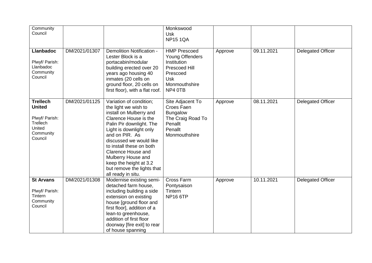| Community<br>Council                                                                             |               |                                                                                                                                                                                                                                                                                                                                                               | Monkswood<br><b>Usk</b><br><b>NP15 1QA</b>                                                                                   |         |            |                          |
|--------------------------------------------------------------------------------------------------|---------------|---------------------------------------------------------------------------------------------------------------------------------------------------------------------------------------------------------------------------------------------------------------------------------------------------------------------------------------------------------------|------------------------------------------------------------------------------------------------------------------------------|---------|------------|--------------------------|
| <b>Llanbadoc</b><br>Plwyf/ Parish:<br>Llanbadoc<br>Community<br>Council                          | DM/2021/01307 | <b>Demolition Notification -</b><br>Lester Block is a<br>portacabin/modular<br>building erected over 20<br>years ago housing 40<br>inmates (20 cells on<br>ground floor, 20 cells on<br>first floor), with a flat roof.                                                                                                                                       | <b>HMP Prescoed</b><br>Young Offenders<br>Institution<br>Prescoed Hill<br>Prescoed<br><b>Usk</b><br>Monmouthshire<br>NP4 0TB | Approve | 09.11.2021 | <b>Delegated Officer</b> |
| <b>Trellech</b><br><b>United</b><br>Plwyf/ Parish:<br>Trellech<br>United<br>Community<br>Council | DM/2021/01125 | Variation of condition;<br>the light we wish to<br>install on Mulberry and<br>Clarence House is the<br>Palin Pir downlight. The<br>Light is downlight only<br>and on PIR. As<br>discussed we would like<br>to install these on both<br>Clarence House and<br>Mulberry House and<br>keep the height at 3.2<br>but remove the lights that<br>all ready in situ. | Site Adjacent To<br>Croes Faen<br><b>Bungalow</b><br>The Craig Road To<br>Penallt<br>Penallt<br>Monmouthshire                | Approve | 08.11.2021 | <b>Delegated Officer</b> |
| <b>St Arvans</b><br>Plwyf/ Parish:<br>Tintern<br>Community<br>Council                            | DM/2021/01308 | Modernise existing semi-<br>detached farm house,<br>including building a side<br>extension on existing<br>house [ground floor and<br>first floor], addition of a<br>lean-to greenhouse,<br>addition of first floor<br>doorway [fire exit] to rear<br>of house spanning                                                                                        | Cross Farm<br>Pontysaison<br>Tintern<br><b>NP16 6TP</b>                                                                      | Approve | 10.11.2021 | <b>Delegated Officer</b> |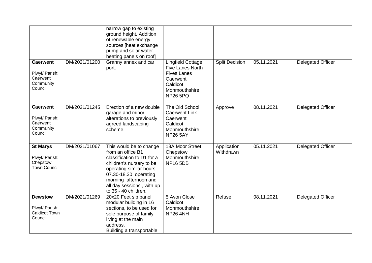|                                                                       |               | narrow gap to existing<br>ground height. Addition<br>of renewable energy<br>sources [heat exchange<br>pump and solar water<br>heating panels on roof]                                                                                    |                                                                                                                                       |                          |            |                          |
|-----------------------------------------------------------------------|---------------|------------------------------------------------------------------------------------------------------------------------------------------------------------------------------------------------------------------------------------------|---------------------------------------------------------------------------------------------------------------------------------------|--------------------------|------------|--------------------------|
| <b>Caerwent</b><br>Plwyf/ Parish:<br>Caerwent<br>Community<br>Council | DM/2021/01200 | Granny annex and car<br>port.                                                                                                                                                                                                            | <b>Lingfield Cottage</b><br><b>Five Lanes North</b><br><b>Fives Lanes</b><br>Caerwent<br>Caldicot<br>Monmouthshire<br><b>NP26 5PQ</b> | <b>Split Decision</b>    | 05.11.2021 | <b>Delegated Officer</b> |
| <b>Caerwent</b><br>Plwyf/ Parish:<br>Caerwent<br>Community<br>Council | DM/2021/01245 | Erection of a new double<br>garage and minor<br>alterations to previously<br>agreed landscaping<br>scheme.                                                                                                                               | The Old School<br><b>Caerwent Link</b><br>Caerwent<br>Caldicot<br>Monmouthshire<br><b>NP26 5AY</b>                                    | Approve                  | 08.11.2021 | <b>Delegated Officer</b> |
| <b>St Marys</b><br>Plwyf/ Parish:<br>Chepstow<br><b>Town Council</b>  | DM/2021/01067 | This would be to change<br>from an office B1<br>classification to D1 for a<br>children's nursery to be<br>operating similar hours<br>07.30-18.30 operating<br>morning afternoon and<br>all day sessions, with up<br>to 35 - 40 children. | 18A Moor Street<br>Chepstow<br>Monmouthshire<br><b>NP16 5DB</b>                                                                       | Application<br>Withdrawn | 05.11.2021 | <b>Delegated Officer</b> |
| <b>Dewstow</b><br>Plwyf/ Parish:<br>Caldicot Town<br>Council          | DM/2021/01269 | 20x20 Feet sip panel<br>modular building in 16<br>sections, to be used for<br>sole purpose of family<br>living at the main<br>address.<br>Building a transportable                                                                       | 5 Avon Close<br>Caldicot<br>Monmouthshire<br><b>NP26 4NH</b>                                                                          | Refuse                   | 08.11.2021 | <b>Delegated Officer</b> |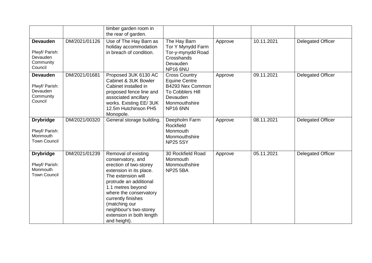|                                                                       |               | timber garden room in<br>the rear of garden.                                                                                                                                                                                                                                                              |                                                                                                                                      |         |            |                          |
|-----------------------------------------------------------------------|---------------|-----------------------------------------------------------------------------------------------------------------------------------------------------------------------------------------------------------------------------------------------------------------------------------------------------------|--------------------------------------------------------------------------------------------------------------------------------------|---------|------------|--------------------------|
| <b>Devauden</b><br>Plwyf/ Parish:<br>Devauden<br>Community<br>Council | DM/2021/01126 | Use of The Hay Barn as<br>holiday accommodation<br>in breach of condition.                                                                                                                                                                                                                                | The Hay Barn<br>Tor Y Mynydd Farm<br>Tor-y-mynydd Road<br>Crosshands<br>Devauden<br>NP166NU                                          | Approve | 10.11.2021 | <b>Delegated Officer</b> |
| <b>Devauden</b><br>Plwyf/ Parish:<br>Devauden<br>Community<br>Council | DM/2021/01681 | Proposed 3UK 6130 AC<br>Cabinet & 3UK Bowler<br>Cabinet installed in<br>proposed fence line and<br>associated ancillary<br>works. Existing EE/3UK<br>12.5m Hutchinson PH5<br>Monopole.                                                                                                                    | <b>Cross Country</b><br><b>Equine Centre</b><br>B4293 Nex Common<br>To Cobblers Hill<br>Devauden<br>Monmouthshire<br><b>NP16 6NN</b> | Approve | 09.11.2021 | <b>Delegated Officer</b> |
| <b>Drybridge</b><br>Plwyf/ Parish:<br>Monmouth<br><b>Town Council</b> | DM/2021/00320 | General storage building.                                                                                                                                                                                                                                                                                 | Deepholm Farm<br>Rockfield<br>Monmouth<br>Monmouthshire<br><b>NP25 5SY</b>                                                           | Approve | 08.11.2021 | <b>Delegated Officer</b> |
| <b>Drybridge</b><br>Plwyf/ Parish:<br>Monmouth<br><b>Town Council</b> | DM/2021/01239 | Removal of existing<br>conservatory, and<br>erection of two-storey<br>extension in its place.<br>The extension will<br>protrude an additional<br>1.1 metres beyond<br>where the conservatory<br>currently finishes<br>(matching our<br>neighbour's two-storey<br>extension in both length<br>and height). | 30 Rockfield Road<br>Monmouth<br>Monmouthshire<br><b>NP25 5BA</b>                                                                    | Approve | 05.11.2021 | <b>Delegated Officer</b> |